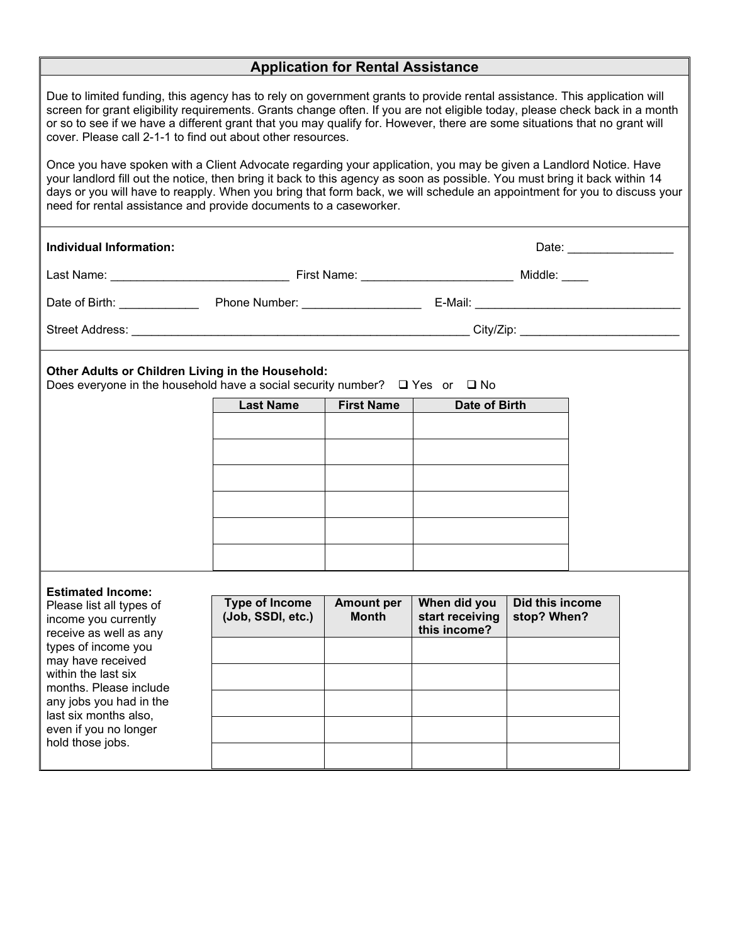| <b>Application for Rental Assistance</b>                                                                                                                                                                                                                                                                                                                                                                                                                                                                                                                                                                                                                                                              |                                            |                                   |                                                 |                                |  |  |  |
|-------------------------------------------------------------------------------------------------------------------------------------------------------------------------------------------------------------------------------------------------------------------------------------------------------------------------------------------------------------------------------------------------------------------------------------------------------------------------------------------------------------------------------------------------------------------------------------------------------------------------------------------------------------------------------------------------------|--------------------------------------------|-----------------------------------|-------------------------------------------------|--------------------------------|--|--|--|
| Due to limited funding, this agency has to rely on government grants to provide rental assistance. This application will<br>screen for grant eligibility requirements. Grants change often. If you are not eligible today, please check back in a month<br>or so to see if we have a different grant that you may qualify for. However, there are some situations that no grant will<br>cover. Please call 2-1-1 to find out about other resources.<br>Once you have spoken with a Client Advocate regarding your application, you may be given a Landlord Notice. Have<br>your landlord fill out the notice, then bring it back to this agency as soon as possible. You must bring it back within 14 |                                            |                                   |                                                 |                                |  |  |  |
| days or you will have to reapply. When you bring that form back, we will schedule an appointment for you to discuss your<br>need for rental assistance and provide documents to a caseworker.                                                                                                                                                                                                                                                                                                                                                                                                                                                                                                         |                                            |                                   |                                                 |                                |  |  |  |
| <b>Individual Information:</b>                                                                                                                                                                                                                                                                                                                                                                                                                                                                                                                                                                                                                                                                        |                                            |                                   |                                                 | Date: ____________             |  |  |  |
|                                                                                                                                                                                                                                                                                                                                                                                                                                                                                                                                                                                                                                                                                                       |                                            |                                   |                                                 |                                |  |  |  |
|                                                                                                                                                                                                                                                                                                                                                                                                                                                                                                                                                                                                                                                                                                       |                                            |                                   |                                                 |                                |  |  |  |
|                                                                                                                                                                                                                                                                                                                                                                                                                                                                                                                                                                                                                                                                                                       |                                            |                                   |                                                 |                                |  |  |  |
| Other Adults or Children Living in the Household:<br>Does everyone in the household have a social security number? $\Box$ Yes or $\Box$ No                                                                                                                                                                                                                                                                                                                                                                                                                                                                                                                                                            |                                            |                                   |                                                 |                                |  |  |  |
|                                                                                                                                                                                                                                                                                                                                                                                                                                                                                                                                                                                                                                                                                                       | <b>Last Name</b>                           | First Name                        | Date of Birth                                   |                                |  |  |  |
|                                                                                                                                                                                                                                                                                                                                                                                                                                                                                                                                                                                                                                                                                                       |                                            |                                   |                                                 |                                |  |  |  |
|                                                                                                                                                                                                                                                                                                                                                                                                                                                                                                                                                                                                                                                                                                       |                                            |                                   |                                                 |                                |  |  |  |
|                                                                                                                                                                                                                                                                                                                                                                                                                                                                                                                                                                                                                                                                                                       |                                            |                                   |                                                 |                                |  |  |  |
|                                                                                                                                                                                                                                                                                                                                                                                                                                                                                                                                                                                                                                                                                                       |                                            |                                   |                                                 |                                |  |  |  |
|                                                                                                                                                                                                                                                                                                                                                                                                                                                                                                                                                                                                                                                                                                       |                                            |                                   |                                                 |                                |  |  |  |
|                                                                                                                                                                                                                                                                                                                                                                                                                                                                                                                                                                                                                                                                                                       |                                            |                                   |                                                 |                                |  |  |  |
|                                                                                                                                                                                                                                                                                                                                                                                                                                                                                                                                                                                                                                                                                                       |                                            |                                   |                                                 |                                |  |  |  |
| <b>Estimated Income:</b>                                                                                                                                                                                                                                                                                                                                                                                                                                                                                                                                                                                                                                                                              |                                            |                                   |                                                 |                                |  |  |  |
| Please list all types of<br>income you currently<br>receive as well as any<br>types of income you<br>may have received<br>within the last six<br>months. Please include<br>any jobs you had in the<br>last six months also,<br>even if you no longer                                                                                                                                                                                                                                                                                                                                                                                                                                                  | <b>Type of Income</b><br>(Job, SSDI, etc.) | <b>Amount per</b><br><b>Month</b> | When did you<br>start receiving<br>this income? | Did this income<br>stop? When? |  |  |  |
|                                                                                                                                                                                                                                                                                                                                                                                                                                                                                                                                                                                                                                                                                                       |                                            |                                   |                                                 |                                |  |  |  |
|                                                                                                                                                                                                                                                                                                                                                                                                                                                                                                                                                                                                                                                                                                       |                                            |                                   |                                                 |                                |  |  |  |
|                                                                                                                                                                                                                                                                                                                                                                                                                                                                                                                                                                                                                                                                                                       |                                            |                                   |                                                 |                                |  |  |  |
|                                                                                                                                                                                                                                                                                                                                                                                                                                                                                                                                                                                                                                                                                                       |                                            |                                   |                                                 |                                |  |  |  |
| hold those jobs.                                                                                                                                                                                                                                                                                                                                                                                                                                                                                                                                                                                                                                                                                      |                                            |                                   |                                                 |                                |  |  |  |
|                                                                                                                                                                                                                                                                                                                                                                                                                                                                                                                                                                                                                                                                                                       |                                            |                                   |                                                 |                                |  |  |  |